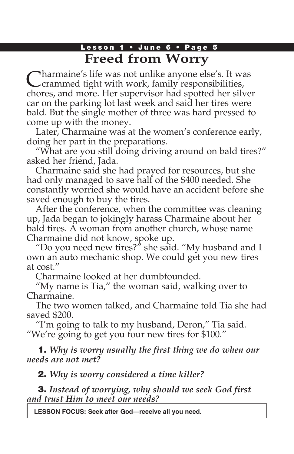## Lesson 1 • June 6 • Page 5 **Freed from Worry**

Charmaine's life was not unlike anyone else's. It was crammed tight with work, family responsibilities, chores, and more. Her supervisor had spotted her silver car on the parking lot last week and said her tires were bald. But the single mother of three was hard pressed to come up with the money.

Later, Charmaine was at the women's conference early, doing her part in the preparations.

"What are you still doing driving around on bald tires?" asked her friend, Jada.

Charmaine said she had prayed for resources, but she had only managed to save half of the \$400 needed. She constantly worried she would have an accident before she saved enough to buy the tires.

After the conference, when the committee was cleaning up, Jada began to jokingly harass Charmaine about her bald tires. A woman from another church, whose name Charmaine did not know, spoke up.

"Do you need new tires?" she said. "My husband and I own an auto mechanic shop. We could get you new tires at cost."

Charmaine looked at her dumbfounded.

"My name is Tia," the woman said, walking over to Charmaine.

The two women talked, and Charmaine told Tia she had saved \$200.

"I'm going to talk to my husband, Deron," Tia said. "We're going to get you four new tires for \$100."

1. *Why is worry usually the first thing we do when our needs are not met?*

2. *Why is worry considered a time killer?*

3. *Instead of worrying, why should we seek God first and trust Him to meet our needs?*

**LESSON FOCUS: Seek after God—receive all you need.**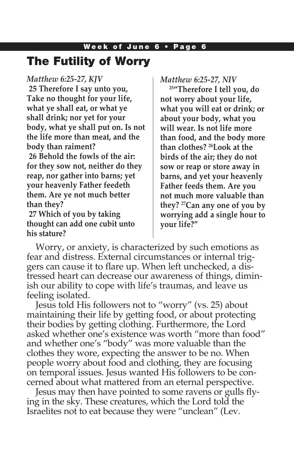## The Futility of Worry

*Matthew 6:25-27, KJV*

**25 Therefore I say unto you, Take no thought for your life, what ye shall eat, or what ye shall drink; nor yet for your body, what ye shall put on. Is not the life more than meat, and the body than raiment? 26 Behold the fowls of the air: for they sow not, neither do they reap, nor gather into barns; yet your heavenly Father feedeth** 

**them. Are ye not much better than they? 27 Which of you by taking** 

**thought can add one cubit unto his stature?**

*Matthew 6:25-27, NIV*

**25"Therefore I tell you, do not worry about your life, what you will eat or drink; or about your body, what you will wear. Is not life more than food, and the body more than clothes? 26Look at the birds of the air; they do not sow or reap or store away in barns, and yet your heavenly Father feeds them. Are you not much more valuable than they? 27Can any one of you by worrying add a single hour to your life?"**

Worry, or anxiety, is characterized by such emotions as fear and distress. External circumstances or internal triggers can cause it to flare up. When left unchecked, a distressed heart can decrease our awareness of things, diminish our ability to cope with life's traumas, and leave us feeling isolated.

Jesus told His followers not to "worry" (vs. 25) about maintaining their life by getting food, or about protecting their bodies by getting clothing. Furthermore, the Lord asked whether one's existence was worth "more than food" and whether one's "body" was more valuable than the clothes they wore, expecting the answer to be no. When people worry about food and clothing, they are focusing on temporal issues. Jesus wanted His followers to be concerned about what mattered from an eternal perspective.

Jesus may then have pointed to some ravens or gulls flying in the sky. These creatures, which the Lord told the Israelites not to eat because they were "unclean" (Lev.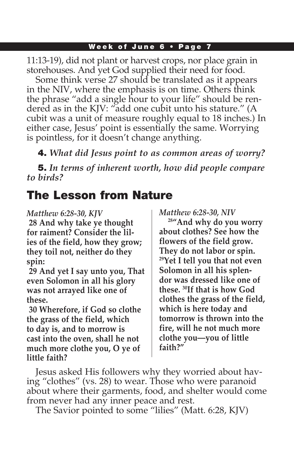11:13-19), did not plant or harvest crops, nor place grain in storehouses. And yet God supplied their need for food.

Some think verse 27 should be translated as it appears in the NIV, where the emphasis is on time. Others think the phrase "add a single hour to your life" should be rendered as in the KJV: "add one cubit unto his stature." (A cubit was a unit of measure roughly equal to 18 inches.) In either case, Jesus' point is essentially the same. Worrying is pointless, for it doesn't change anything.

4. *What did Jesus point to as common areas of worry?*

5. *In terms of inherent worth, how did people compare to birds?*

# The Lesson from Nature

### *Matthew 6:28-30, KJV*

**28 And why take ye thought for raiment? Consider the lilies of the field, how they grow; they toil not, neither do they spin:**

**29 And yet I say unto you, That even Solomon in all his glory was not arrayed like one of these.**

**30 Wherefore, if God so clothe the grass of the field, which to day is, and to morrow is cast into the oven, shall he not much more clothe you, O ye of little faith?**

*Matthew 6:28-30, NIV*

**28"And why do you worry about clothes? See how the flowers of the field grow. They do not labor or spin. 29Yet I tell you that not even Solomon in all his splendor was dressed like one of these. 30If that is how God clothes the grass of the field, which is here today and tomorrow is thrown into the fire, will he not much more clothe you—you of little faith?"**

Jesus asked His followers why they worried about having "clothes" (vs. 28) to wear. Those who were paranoid about where their garments, food, and shelter would come from never had any inner peace and rest.

The Savior pointed to some "lilies" (Matt. 6:28, KJV)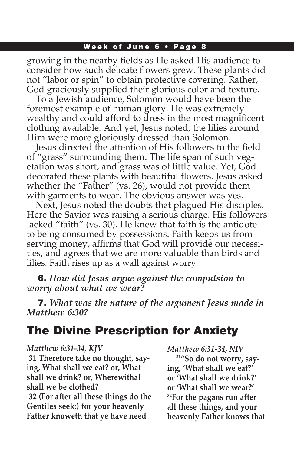growing in the nearby fields as He asked His audience to consider how such delicate flowers grew. These plants did not "labor or spin" to obtain protective covering. Rather, God graciously supplied their glorious color and texture.

To a Jewish audience, Solomon would have been the foremost example of human glory. He was extremely wealthy and could afford to dress in the most magnificent clothing available. And yet, Jesus noted, the lilies around Him were more gloriously dressed than Solomon.

Jesus directed the attention of His followers to the field of "grass" surrounding them. The life span of such vegetation was short, and grass was of little value. Yet, God decorated these plants with beautiful flowers. Jesus asked whether the "Father" (vs. 26), would not provide them with garments to wear. The obvious answer was yes.

Next, Jesus noted the doubts that plagued His disciples. Here the Savior was raising a serious charge. His followers lacked "faith" (vs. 30). He knew that faith is the antidote to being consumed by possessions. Faith keeps us from serving money, affirms that God will provide our necessities, and agrees that we are more valuable than birds and lilies. Faith rises up as a wall against worry.

6. *How did Jesus argue against the compulsion to worry about what we wear?*

7. *What was the nature of the argument Jesus made in Matthew 6:30?*

## The Divine Prescription for Anxiety

#### *Matthew 6:31-34, KJV*

**31 Therefore take no thought, saying, What shall we eat? or, What shall we drink? or, Wherewithal shall we be clothed?**

**32 (For after all these things do the Gentiles seek:) for your heavenly Father knoweth that ye have need** 

*Matthew 6:31-34, NIV*

**31"So do not worry, saying, 'What shall we eat?' or 'What shall we drink?' or 'What shall we wear?' 32For the pagans run after all these things, and your heavenly Father knows that**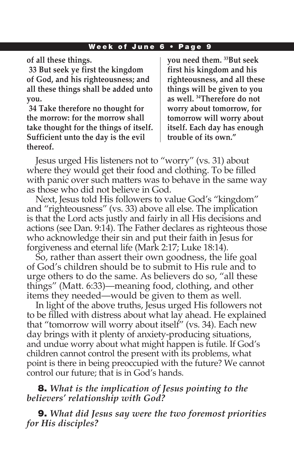**of all these things.**

**33 But seek ye first the kingdom of God, and his righteousness; and all these things shall be added unto you.**

**34 Take therefore no thought for the morrow: for the morrow shall take thought for the things of itself. Sufficient unto the day is the evil thereof.**

**you need them. 33But seek first his kingdom and his righteousness, and all these things will be given to you as well. 34Therefore do not worry about tomorrow, for tomorrow will worry about itself. Each day has enough trouble of its own."**

Jesus urged His listeners not to "worry" (vs. 31) about where they would get their food and clothing. To be filled with panic over such matters was to behave in the same way as those who did not believe in God.

Next, Jesus told His followers to value God's "kingdom" and "righteousness" (vs. 33) above all else. The implication is that the Lord acts justly and fairly in all His decisions and actions (see Dan. 9:14). The Father declares as righteous those who acknowledge their sin and put their faith in Jesus for forgiveness and eternal life (Mark 2:17; Luke 18:14).

So, rather than assert their own goodness, the life goal of God's children should be to submit to His rule and to urge others to do the same. As believers do so, "all these things" (Matt. 6:33)—meaning food, clothing, and other items they needed—would be given to them as well.

In light of the above truths, Jesus urged His followers not to be filled with distress about what lay ahead. He explained that "tomorrow will worry about itself" (vs. 34). Each new day brings with it plenty of anxiety-producing situations, and undue worry about what might happen is futile. If God's children cannot control the present with its problems, what point is there in being preoccupied with the future? We cannot control our future; that is in God's hands.

### 8. *What is the implication of Jesus pointing to the believers' relationship with God?*

9. *What did Jesus say were the two foremost priorities for His disciples?*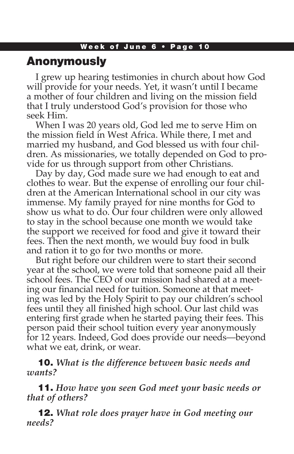## Anonymously

I grew up hearing testimonies in church about how God will provide for your needs. Yet, it wasn't until I became a mother of four children and living on the mission field that I truly understood God's provision for those who seek Him.

When I was 20 years old, God led me to serve Him on the mission field in West Africa. While there, I met and married my husband, and God blessed us with four children. As missionaries, we totally depended on God to provide for us through support from other Christians.

Day by day, God made sure we had enough to eat and clothes to wear. But the expense of enrolling our four children at the American International school in our city was immense. My family prayed for nine months for God to show us what to do. Our four children were only allowed to stay in the school because one month we would take the support we received for food and give it toward their fees. Then the next month, we would buy food in bulk and ration it to go for two months or more.

But right before our children were to start their second year at the school, we were told that someone paid all their school fees. The CEO of our mission had shared at a meeting our financial need for tuition. Someone at that meeting was led by the Holy Spirit to pay our children's school fees until they all finished high school. Our last child was entering first grade when he started paying their fees. This person paid their school tuition every year anonymously for 12 years. Indeed, God does provide our needs—beyond what we eat, drink, or wear.

10. *What is the difference between basic needs and wants?*

11. *How have you seen God meet your basic needs or that of others?* 

12. *What role does prayer have in God meeting our needs?*